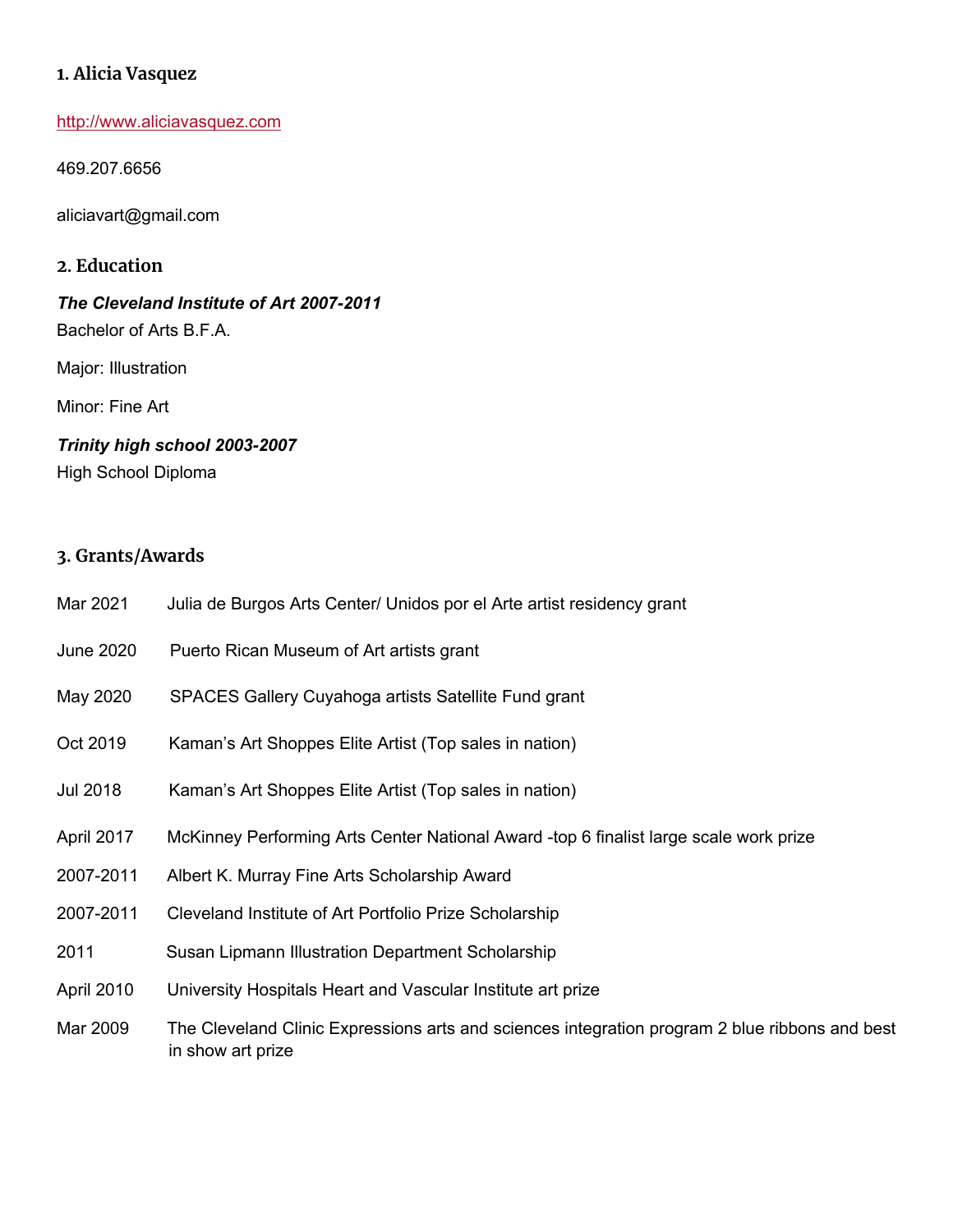## **1. Alicia Vasquez**

http://www.aliciavasquez.com

469.207.6656

aliciavart@gmail.com

### **2. Education**

# *The Cleveland Institute of Art 2007-2011* Bachelor of Arts B.F.A.

Major: Illustration

Minor: Fine Art

# *Trinity high school 2003-2007*

High School Diploma

## **3. Grants/Awards**

- Mar 2021 Julia de Burgos Arts Center/ Unidos por el Arte artist residency grant
- June 2020 Puerto Rican Museum of Art artists grant
- May 2020 SPACES Gallery Cuyahoga artists Satellite Fund grant
- Oct 2019 Kaman's Art Shoppes Elite Artist (Top sales in nation)
- Jul 2018 Kaman's Art Shoppes Elite Artist (Top sales in nation)
- April 2017 McKinney Performing Arts Center National Award -top 6 finalist large scale work prize
- 2007-2011 Albert K. Murray Fine Arts Scholarship Award
- 2007-2011 Cleveland Institute of Art Portfolio Prize Scholarship
- 2011 Susan Lipmann Illustration Department Scholarship
- April 2010 University Hospitals Heart and Vascular Institute art prize
- Mar 2009 The Cleveland Clinic Expressions arts and sciences integration program 2 blue ribbons and best in show art prize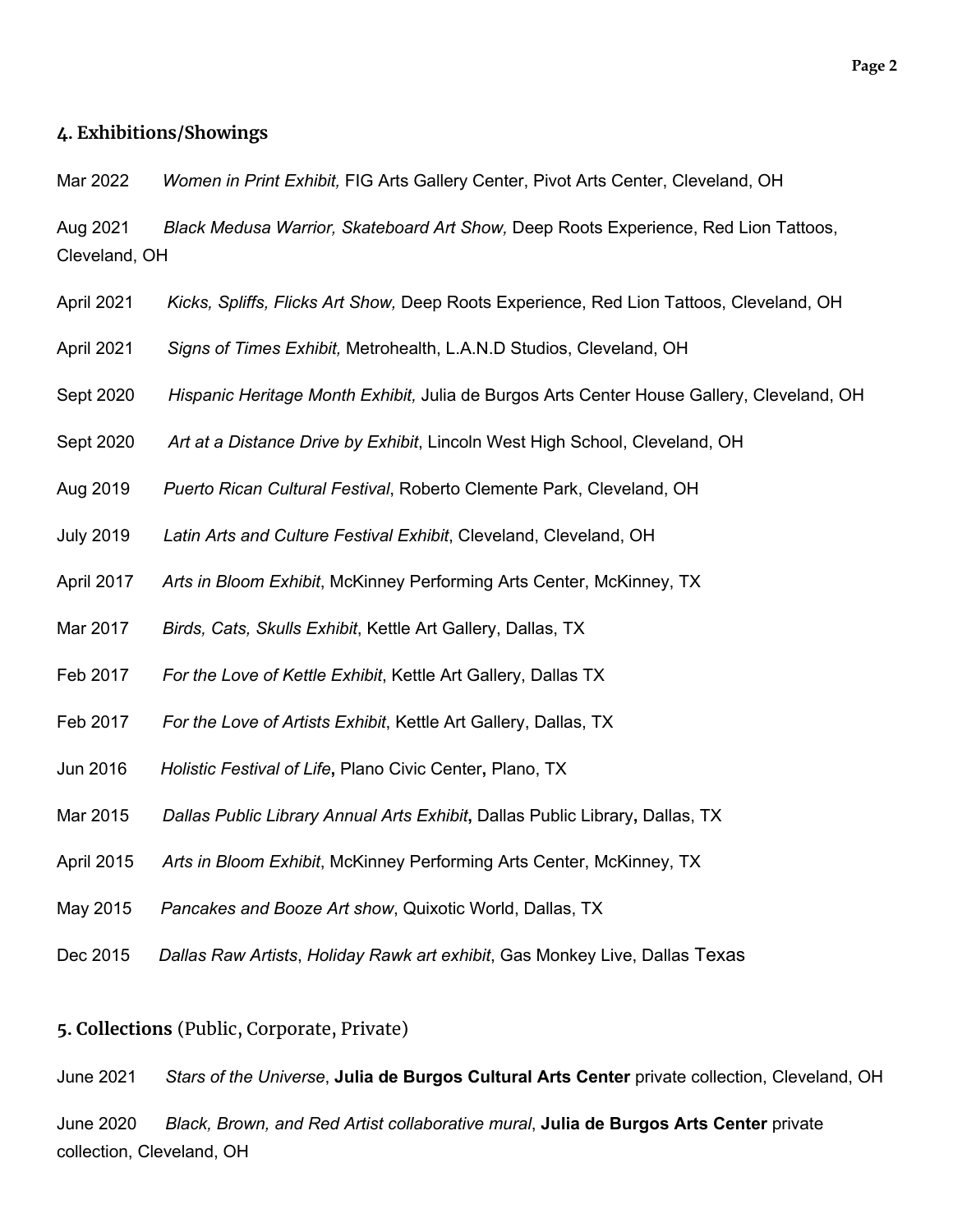#### **4. Exhibitions/Showings**

Mar 2022 *Women in Print Exhibit,* FIG Arts Gallery Center, Pivot Arts Center, Cleveland, OH

Aug 2021 *Black Medusa Warrior, Skateboard Art Show,* Deep Roots Experience, Red Lion Tattoos, Cleveland, OH

- April 2021 *Kicks, Spliffs, Flicks Art Show,* Deep Roots Experience, Red Lion Tattoos, Cleveland, OH
- April 2021 *Signs of Times Exhibit,* Metrohealth, L.A.N.D Studios, Cleveland, OH
- Sept 2020 *Hispanic Heritage Month Exhibit,* Julia de Burgos Arts Center House Gallery, Cleveland, OH
- Sept 2020 *Art at a Distance Drive by Exhibit*, Lincoln West High School, Cleveland, OH
- Aug 2019 *Puerto Rican Cultural Festival*, Roberto Clemente Park, Cleveland, OH
- July 2019 *Latin Arts and Culture Festival Exhibit*, Cleveland, Cleveland, OH
- April 2017 *Arts in Bloom Exhibit*, McKinney Performing Arts Center, McKinney, TX
- Mar 2017 *Birds, Cats, Skulls Exhibit*, Kettle Art Gallery, Dallas, TX
- Feb 2017 *For the Love of Kettle Exhibit*, Kettle Art Gallery, Dallas TX
- Feb 2017 *For the Love of Artists Exhibit*, Kettle Art Gallery, Dallas, TX
- Jun 2016 *Holistic Festival of Life***,** Plano Civic Center**,** Plano, TX
- Mar 2015 *Dallas Public Library Annual Arts Exhibit***,** Dallas Public Library**,** Dallas, TX
- April 2015 *Arts in Bloom Exhibit*, McKinney Performing Arts Center, McKinney, TX
- May 2015 *Pancakes and Booze Art show*, Quixotic World, Dallas, TX
- Dec 2015 *Dallas Raw Artists*, *Holiday Rawk art exhibit*, Gas Monkey Live, Dallas Texas

#### **5. Collections** (Public, Corporate, Private)

June 2021 *Stars of the Universe*, **Julia de Burgos Cultural Arts Center** private collection, Cleveland, OH

June 2020 *Black, Brown, and Red Artist collaborative mural*, **Julia de Burgos Arts Center** private collection, Cleveland, OH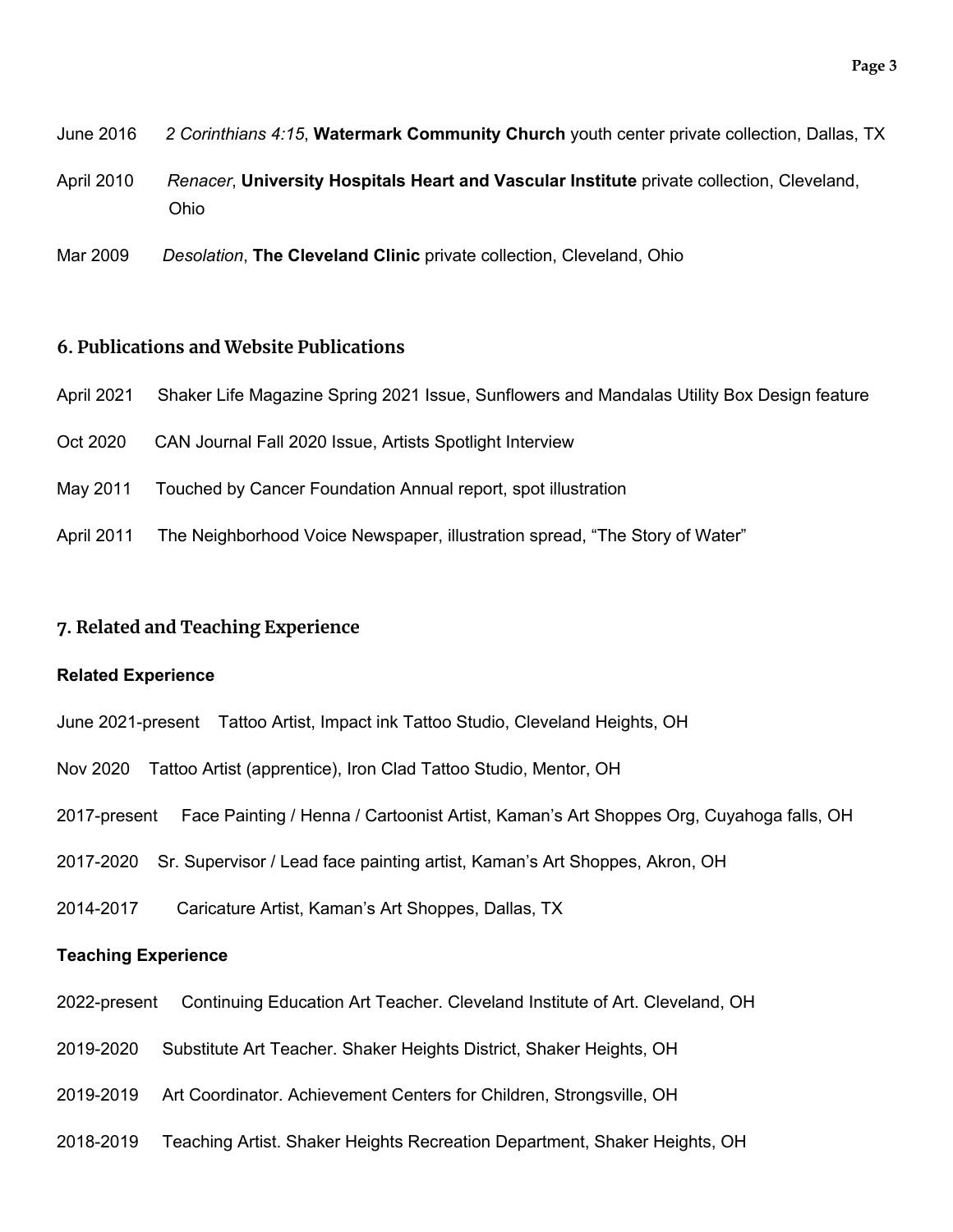- June 2016 *2 Corinthians 4:15*, **Watermark Community Church** youth center private collection, Dallas, TX
- April 2010 *Renacer*, **University Hospitals Heart and Vascular Institute** private collection, Cleveland, Ohio
- Mar 2009 *Desolation*, **The Cleveland Clinic** private collection, Cleveland, Ohio

#### **6. Publications and Website Publications**

- April 2021 Shaker Life Magazine Spring 2021 Issue, Sunflowers and Mandalas Utility Box Design feature
- Oct 2020 CAN Journal Fall 2020 Issue, Artists Spotlight Interview
- May 2011 Touched by Cancer Foundation Annual report, spot illustration
- April 2011 The Neighborhood Voice Newspaper, illustration spread, "The Story of Water"

#### **7. Related and Teaching Experience**

#### **Related Experience**

- June 2021-present Tattoo Artist, Impact ink Tattoo Studio, Cleveland Heights, OH
- Nov 2020 Tattoo Artist (apprentice), Iron Clad Tattoo Studio, Mentor, OH
- 2017-present Face Painting / Henna / Cartoonist Artist, Kaman's Art Shoppes Org, Cuyahoga falls, OH
- 2017-2020 Sr. Supervisor / Lead face painting artist, Kaman's Art Shoppes, Akron, OH
- 2014-2017Caricature Artist, Kaman's Art Shoppes, Dallas, TX

#### **Teaching Experience**

- 2022-present Continuing Education Art Teacher. Cleveland Institute of Art. Cleveland, OH
- 2019-2020 Substitute Art Teacher. Shaker Heights District, Shaker Heights, OH
- 2019-2019 Art Coordinator. Achievement Centers for Children, Strongsville, OH
- 2018-2019 Teaching Artist. Shaker Heights Recreation Department, Shaker Heights, OH